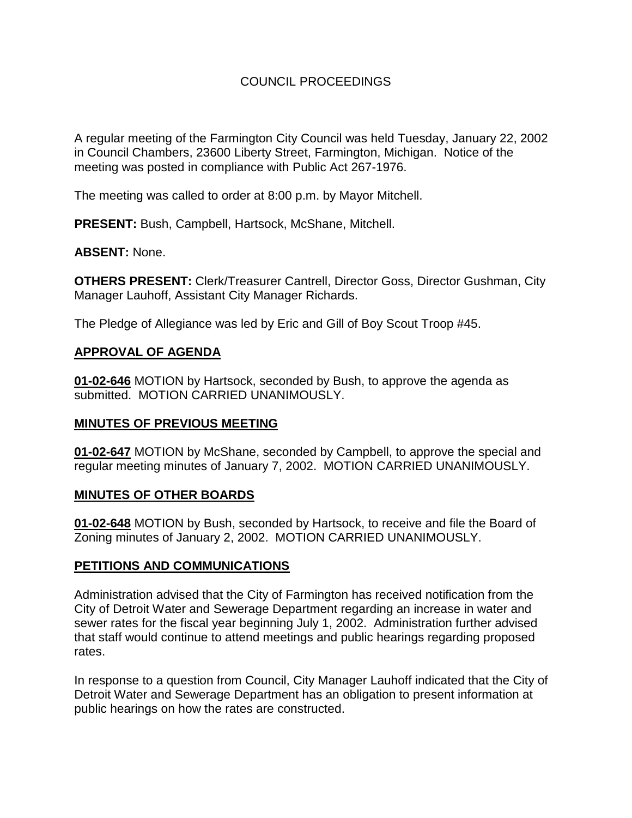# COUNCIL PROCEEDINGS

A regular meeting of the Farmington City Council was held Tuesday, January 22, 2002 in Council Chambers, 23600 Liberty Street, Farmington, Michigan. Notice of the meeting was posted in compliance with Public Act 267-1976.

The meeting was called to order at 8:00 p.m. by Mayor Mitchell.

**PRESENT:** Bush, Campbell, Hartsock, McShane, Mitchell.

### **ABSENT:** None.

**OTHERS PRESENT:** Clerk/Treasurer Cantrell, Director Goss, Director Gushman, City Manager Lauhoff, Assistant City Manager Richards.

The Pledge of Allegiance was led by Eric and Gill of Boy Scout Troop #45.

### **APPROVAL OF AGENDA**

**01-02-646** MOTION by Hartsock, seconded by Bush, to approve the agenda as submitted. MOTION CARRIED UNANIMOUSLY.

#### **MINUTES OF PREVIOUS MEETING**

**01-02-647** MOTION by McShane, seconded by Campbell, to approve the special and regular meeting minutes of January 7, 2002. MOTION CARRIED UNANIMOUSLY.

#### **MINUTES OF OTHER BOARDS**

**01-02-648** MOTION by Bush, seconded by Hartsock, to receive and file the Board of Zoning minutes of January 2, 2002. MOTION CARRIED UNANIMOUSLY.

#### **PETITIONS AND COMMUNICATIONS**

Administration advised that the City of Farmington has received notification from the City of Detroit Water and Sewerage Department regarding an increase in water and sewer rates for the fiscal year beginning July 1, 2002. Administration further advised that staff would continue to attend meetings and public hearings regarding proposed rates.

In response to a question from Council, City Manager Lauhoff indicated that the City of Detroit Water and Sewerage Department has an obligation to present information at public hearings on how the rates are constructed.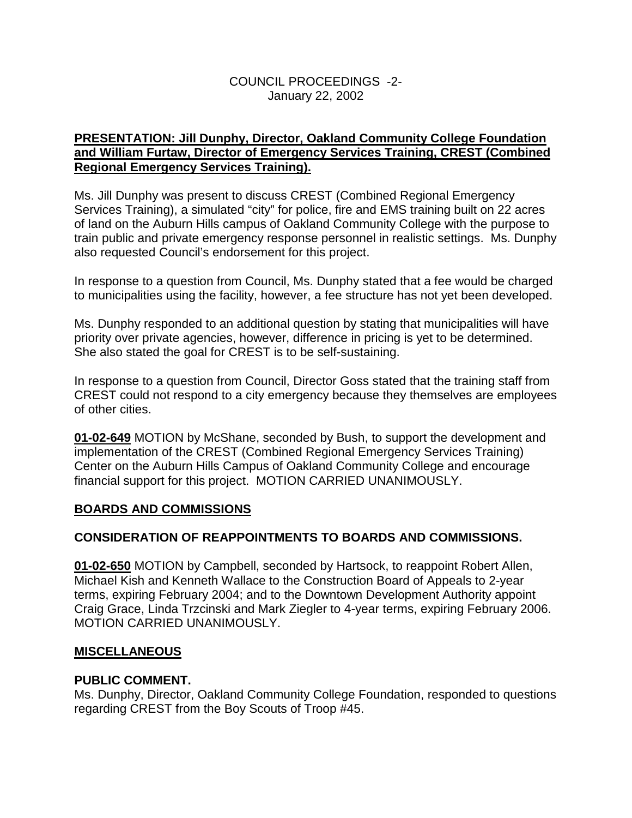## COUNCIL PROCEEDINGS -2- January 22, 2002

## **PRESENTATION: Jill Dunphy, Director, Oakland Community College Foundation and William Furtaw, Director of Emergency Services Training, CREST (Combined Regional Emergency Services Training).**

Ms. Jill Dunphy was present to discuss CREST (Combined Regional Emergency Services Training), a simulated "city" for police, fire and EMS training built on 22 acres of land on the Auburn Hills campus of Oakland Community College with the purpose to train public and private emergency response personnel in realistic settings. Ms. Dunphy also requested Council's endorsement for this project.

In response to a question from Council, Ms. Dunphy stated that a fee would be charged to municipalities using the facility, however, a fee structure has not yet been developed.

Ms. Dunphy responded to an additional question by stating that municipalities will have priority over private agencies, however, difference in pricing is yet to be determined. She also stated the goal for CREST is to be self-sustaining.

In response to a question from Council, Director Goss stated that the training staff from CREST could not respond to a city emergency because they themselves are employees of other cities.

**01-02-649** MOTION by McShane, seconded by Bush, to support the development and implementation of the CREST (Combined Regional Emergency Services Training) Center on the Auburn Hills Campus of Oakland Community College and encourage financial support for this project. MOTION CARRIED UNANIMOUSLY.

# **BOARDS AND COMMISSIONS**

## **CONSIDERATION OF REAPPOINTMENTS TO BOARDS AND COMMISSIONS.**

**01-02-650** MOTION by Campbell, seconded by Hartsock, to reappoint Robert Allen, Michael Kish and Kenneth Wallace to the Construction Board of Appeals to 2-year terms, expiring February 2004; and to the Downtown Development Authority appoint Craig Grace, Linda Trzcinski and Mark Ziegler to 4-year terms, expiring February 2006. MOTION CARRIED UNANIMOUSLY.

## **MISCELLANEOUS**

## **PUBLIC COMMENT.**

Ms. Dunphy, Director, Oakland Community College Foundation, responded to questions regarding CREST from the Boy Scouts of Troop #45.